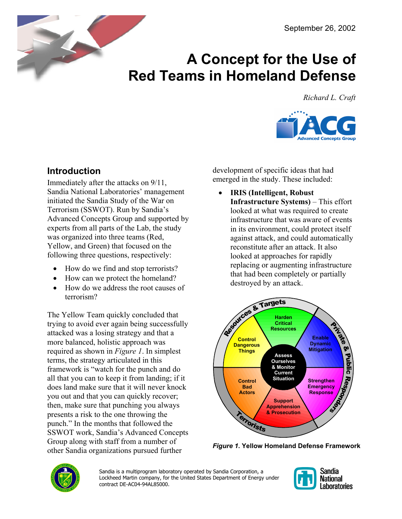

# **A Concept for the Use of Red Teams in Homeland Defense**

*Richard L. Craft*



# **Introduction**

Immediately after the attacks on 9/11, Sandia National Laboratories' management initiated the Sandia Study of the War on Terrorism (SSWOT). Run by Sandia's Advanced Concepts Group and supported by experts from all parts of the Lab, the study was organized into three teams (Red, Yellow, and Green) that focused on the following three questions, respectively:

- How do we find and stop terrorists?
- How can we protect the homeland?
- How do we address the root causes of terrorism?

The Yellow Team quickly concluded that trying to avoid ever again being successfully attacked was a losing strategy and that a more balanced, holistic approach was required as shown in *[Figure 1](#page-0-0)*. In simplest terms, the strategy articulated in this framework is "watch for the punch and do all that you can to keep it from landing; if it does land make sure that it will never knock you out and that you can quickly recover; then, make sure that punching you always presents a risk to the one throwing the punch." In the months that followed the SSWOT work, Sandia's Advanced Concepts Group along with staff from a number of other Sandia organizations pursued further

development of specific ideas that had emerged in the study. These included:

• **IRIS (Intelligent, Robust Infrastructure Systems)** – This effort looked at what was required to create infrastructure that was aware of events in its environment, could protect itself against attack, and could automatically reconstitute after an attack. It also looked at approaches for rapidly replacing or augmenting infrastructure that had been completely or partially destroyed by an attack.

<span id="page-0-0"></span>

*Figure 1***. Yellow Homeland Defense Framework** 



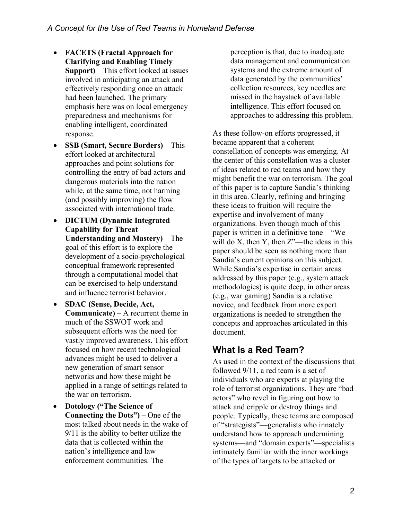- **FACETS (Fractal Approach for Clarifying and Enabling Timely Support)** – This effort looked at issues involved in anticipating an attack and effectively responding once an attack had been launched. The primary emphasis here was on local emergency preparedness and mechanisms for enabling intelligent, coordinated response.
- **SSB (Smart, Secure Borders)**  This effort looked at architectural approaches and point solutions for controlling the entry of bad actors and dangerous materials into the nation while, at the same time, not harming (and possibly improving) the flow associated with international trade.
- **DICTUM (Dynamic Integrated Capability for Threat Understanding and Mastery)** – The goal of this effort is to explore the development of a socio-psychological conceptual framework represented through a computational model that can be exercised to help understand and influence terrorist behavior.
- **SDAC (Sense, Decide, Act, Communicate)** – A recurrent theme in much of the SSWOT work and subsequent efforts was the need for vastly improved awareness. This effort focused on how recent technological advances might be used to deliver a new generation of smart sensor networks and how these might be applied in a range of settings related to the war on terrorism.
- **Dotology ("The Science of Connecting the Dots")** – One of the most talked about needs in the wake of 9/11 is the ability to better utilize the data that is collected within the nation's intelligence and law enforcement communities. The

perception is that, due to inadequate data management and communication systems and the extreme amount of data generated by the communities' collection resources, key needles are missed in the haystack of available intelligence. This effort focused on approaches to addressing this problem.

As these follow-on efforts progressed, it became apparent that a coherent constellation of concepts was emerging. At the center of this constellation was a cluster of ideas related to red teams and how they might benefit the war on terrorism. The goal of this paper is to capture Sandia's thinking in this area. Clearly, refining and bringing these ideas to fruition will require the expertise and involvement of many organizations. Even though much of this paper is written in a definitive tone—"We will do  $X$ , then  $Y$ , then  $Z^{\prime\prime}$ —the ideas in this paper should be seen as nothing more than Sandia's current opinions on this subject. While Sandia's expertise in certain areas addressed by this paper (e.g., system attack methodologies) is quite deep, in other areas (e.g., war gaming) Sandia is a relative novice, and feedback from more expert organizations is needed to strengthen the concepts and approaches articulated in this document.

# **What Is a Red Team?**

As used in the context of the discussions that followed 9/11, a red team is a set of individuals who are experts at playing the role of terrorist organizations. They are "bad actors" who revel in figuring out how to attack and cripple or destroy things and people. Typically, these teams are composed of "strategists"—generalists who innately understand how to approach undermining systems—and "domain experts"—specialists intimately familiar with the inner workings of the types of targets to be attacked or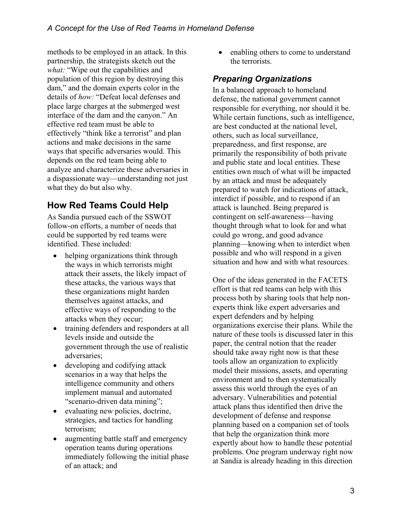methods to be employed in an attack. In this partnership, the strategists sketch out the *what:* "Wipe out the capabilities and population of this region by destroying this dam," and the domain experts color in the details of *how:* "Defeat local defenses and place large charges at the submerged west interface of the dam and the canyon." An effective red team must be able to effectively "think like a terrorist" and plan actions and make decisions in the same ways that specific adversaries would. This depends on the red team being able to analyze and characterize these adversaries in a dispassionate way—understanding not just what they do but also why.

# **How Red Teams Could Help**

As Sandia pursued each of the SSWOT follow-on efforts, a number of needs that could be supported by red teams were identified. These included:

- helping organizations think through the ways in which terrorists might attack their assets, the likely impact of these attacks, the various ways that these organizations might harden themselves against attacks, and effective ways of responding to the attacks when they occur;
- training defenders and responders at all levels inside and outside the government through the use of realistic adversaries;
- developing and codifying attack scenarios in a way that helps the intelligence community and others implement manual and automated "scenario-driven data mining";
- evaluating new policies, doctrine, strategies, and tactics for handling terrorism;
- augmenting battle staff and emergency operation teams during operations immediately following the initial phase of an attack; and

• enabling others to come to understand the terrorists.

#### *Preparing Organizations*

In a balanced approach to homeland defense, the national government cannot responsible for everything, nor should it be. While certain functions, such as intelligence, are best conducted at the national level, others, such as local surveillance, preparedness, and first response, are primarily the responsibility of both private and public state and local entities. These entities own much of what will be impacted by an attack and must be adequately prepared to watch for indications of attack, interdict if possible, and to respond if an attack is launched. Being prepared is contingent on self-awareness—having thought through what to look for and what could go wrong, and good advance planning—knowing when to interdict when possible and who will respond in a given situation and how and with what resources.

One of the ideas generated in the FACETS effort is that red teams can help with this process both by sharing tools that help nonexperts think like expert adversaries and expert defenders and by helping organizations exercise their plans. While the nature of these tools is discussed later in this paper, the central notion that the reader should take away right now is that these tools allow an organization to explicitly model their missions, assets, and operating environment and to then systematically assess this world through the eyes of an adversary. Vulnerabilities and potential attack plans thus identified then drive the development of defense and response planning based on a companion set of tools that help the organization think more expertly about how to handle these potential problems. One program underway right now at Sandia is already heading in this direction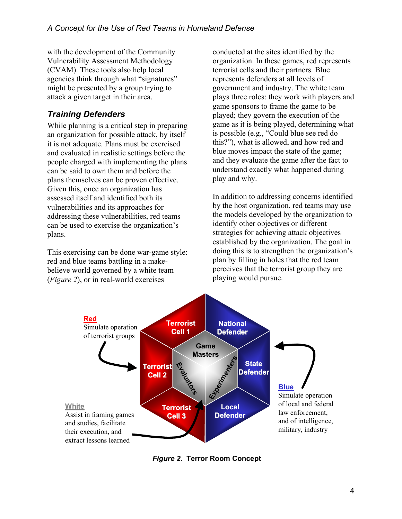with the development of the Community Vulnerability Assessment Methodology (CVAM). These tools also help local agencies think through what "signatures" might be presented by a group trying to attack a given target in their area.

#### *Training Defenders*

While planning is a critical step in preparing an organization for possible attack, by itself it is not adequate. Plans must be exercised and evaluated in realistic settings before the people charged with implementing the plans can be said to own them and before the plans themselves can be proven effective. Given this, once an organization has assessed itself and identified both its vulnerabilities and its approaches for addressing these vulnerabilities, red teams can be used to exercise the organization's plans.

This exercising can be done war-game style: red and blue teams battling in a makebelieve world governed by a white team (*[Figure 2](#page-12-0)*), or in real-world exercises

conducted at the sites identified by the organization. In these games, red represents terrorist cells and their partners. Blue represents defenders at all levels of government and industry. The white team plays three roles: they work with players and game sponsors to frame the game to be played; they govern the execution of the game as it is being played, determining what is possible (e.g., "Could blue see red do this?"), what is allowed, and how red and blue moves impact the state of the game; and they evaluate the game after the fact to understand exactly what happened during play and why.

In addition to addressing concerns identified by the host organization, red teams may use the models developed by the organization to identify other objectives or different strategies for achieving attack objectives established by the organization. The goal in doing this is to strengthen the organization's plan by filling in holes that the red team perceives that the terrorist group they are playing would pursue.



*Figure 2***. Terror Room Concept**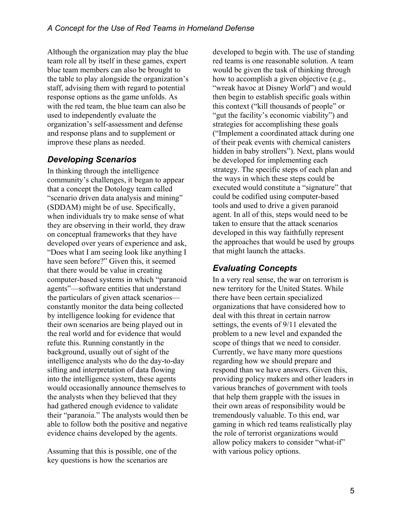Although the organization may play the blue team role all by itself in these games, expert blue team members can also be brought to the table to play alongside the organization's staff, advising them with regard to potential response options as the game unfolds. As with the red team, the blue team can also be used to independently evaluate the organization's self-assessment and defense and response plans and to supplement or improve these plans as needed.

#### *Developing Scenarios*

In thinking through the intelligence community's challenges, it began to appear that a concept the Dotology team called "scenario driven data analysis and mining" (SDDAM) might be of use. Specifically, when individuals try to make sense of what they are observing in their world, they draw on conceptual frameworks that they have developed over years of experience and ask, "Does what I am seeing look like anything I have seen before?" Given this, it seemed that there would be value in creating computer-based systems in which "paranoid agents"—software entities that understand the particulars of given attack scenarios constantly monitor the data being collected by intelligence looking for evidence that their own scenarios are being played out in the real world and for evidence that would refute this. Running constantly in the background, usually out of sight of the intelligence analysts who do the day-to-day sifting and interpretation of data flowing into the intelligence system, these agents would occasionally announce themselves to the analysts when they believed that they had gathered enough evidence to validate their "paranoia." The analysts would then be able to follow both the positive and negative evidence chains developed by the agents.

Assuming that this is possible, one of the key questions is how the scenarios are

developed to begin with. The use of standing red teams is one reasonable solution. A team would be given the task of thinking through how to accomplish a given objective (e.g., "wreak havoc at Disney World") and would then begin to establish specific goals within this context ("kill thousands of people" or "gut the facility's economic viability") and strategies for accomplishing these goals ("Implement a coordinated attack during one of their peak events with chemical canisters hidden in baby strollers"). Next, plans would be developed for implementing each strategy. The specific steps of each plan and the ways in which these steps could be executed would constitute a "signature" that could be codified using computer-based tools and used to drive a given paranoid agent. In all of this, steps would need to be taken to ensure that the attack scenarios developed in this way faithfully represent the approaches that would be used by groups that might launch the attacks.

### *Evaluating Concepts*

In a very real sense, the war on terrorism is new territory for the United States. While there have been certain specialized organizations that have considered how to deal with this threat in certain narrow settings, the events of 9/11 elevated the problem to a new level and expanded the scope of things that we need to consider. Currently, we have many more questions regarding how we should prepare and respond than we have answers. Given this, providing policy makers and other leaders in various branches of government with tools that help them grapple with the issues in their own areas of responsibility would be tremendously valuable. To this end, war gaming in which red teams realistically play the role of terrorist organizations would allow policy makers to consider "what-if" with various policy options.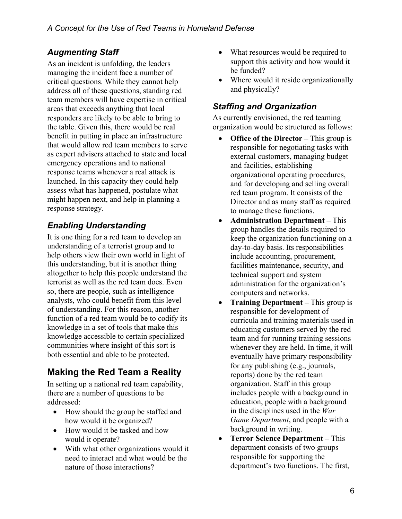As an incident is unfolding, the leaders support this managing the incident face a number of be funded? managing the incident face a number of critical questions. While they cannot help address all of these questions, standing red team members will have expertise in critical areas that exceeds anything that local responders are likely to be able to bring to the table. Given this, there would be real benefit in putting in place an infrastructure that would allow red team members to serve as expert advisers attached to state and local emergency operations and to national response teams whenever a real attack is launched. In this capacity they could help assess what has happened, postulate what might happen next, and help in planning a response strategy.

## *Enabling Understanding*

It is one thing for a red team to develop an understanding of a terrorist group and to help others view their own world in light of this understanding, but it is another thing altogether to help this people understand the terrorist as well as the red team does. Even so, there are people, such as intelligence analysts, who could benefit from this level of understanding. For this reason, another function of a red team would be to codify its knowledge in a set of tools that make this knowledge accessible to certain specialized communities where insight of this sort is both essential and able to be protected.

# **Making the Red Team a Reality**

In setting up a national red team capability, there are a number of questions to be addressed:

- How should the group be staffed and how would it be organized?
- How would it be tasked and how
- With what other organizations would it need to interact and what would be the nature of those interactions?
- **Augmenting Staff** What resources would be required to support this activity and how would it
	- Where would it reside organizationally and physically?

#### *Staffing and Organization*

As currently envisioned, the red teaming organization would be structured as follows:

- **Office of the Director –** This group is responsible for negotiating tasks with external customers, managing budget and facilities, establishing organizational operating procedures, and for developing and selling overall red team program. It consists of the Director and as many staff as required to manage these functions.
- **Administration Department –** This group handles the details required to keep the organization functioning on a day-to-day basis. Its responsibilities include accounting, procurement, facilities maintenance, security, and technical support and system administration for the organization's computers and networks.
- **Training Department –** This group is responsible for development of curricula and training materials used in educating customers served by the red team and for running training sessions whenever they are held. In time, it will eventually have primary responsibility for any publishing (e.g., journals, reports) done by the red team organization. Staff in this group includes people with a background in education, people with a background in the disciplines used in the *War Game Department*, and people with a background in writing.
- would it operate? **Terror Science Department –** This department consists of two groups responsible for supporting the department's two functions. The first,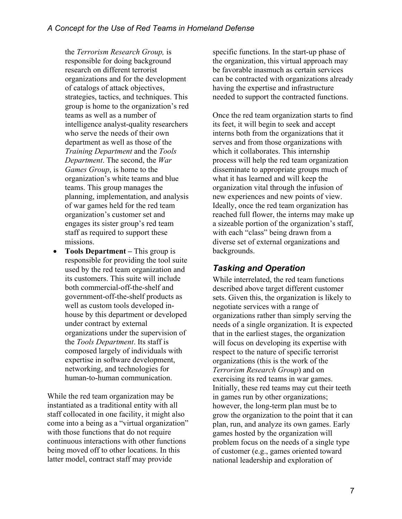the *Terrorism Research Group,* is responsible for doing background research on different terrorist organizations and for the development of catalogs of attack objectives, strategies, tactics, and techniques. This group is home to the organization's red teams as well as a number of intelligence analyst-quality researchers who serve the needs of their own department as well as those of the *Training Department* and the *Tools Department*. The second, the *War Games Group*, is home to the organization's white teams and blue teams. This group manages the planning, implementation, and analysis of war games held for the red team organization's customer set and engages its sister group's red team staff as required to support these missions.

• **Tools Department –** This group is responsible for providing the tool suite used by the red team organization and its customers. This suite will include both commercial-off-the-shelf and government-off-the-shelf products as well as custom tools developed inhouse by this department or developed under contract by external organizations under the supervision of the *Tools Department*. Its staff is composed largely of individuals with expertise in software development, networking, and technologies for human-to-human communication.

While the red team organization may be instantiated as a traditional entity with all staff collocated in one facility, it might also come into a being as a "virtual organization" with those functions that do not require continuous interactions with other functions being moved off to other locations. In this latter model, contract staff may provide

specific functions. In the start-up phase of the organization, this virtual approach may be favorable inasmuch as certain services can be contracted with organizations already having the expertise and infrastructure needed to support the contracted functions.

Once the red team organization starts to find its feet, it will begin to seek and accept interns both from the organizations that it serves and from those organizations with which it collaborates. This internship process will help the red team organization disseminate to appropriate groups much of what it has learned and will keep the organization vital through the infusion of new experiences and new points of view. Ideally, once the red team organization has reached full flower, the interns may make up a sizeable portion of the organization's staff, with each "class" being drawn from a diverse set of external organizations and backgrounds.

# *Tasking and Operation*

While interrelated, the red team functions described above target different customer sets. Given this, the organization is likely to negotiate services with a range of organizations rather than simply serving the needs of a single organization. It is expected that in the earliest stages, the organization will focus on developing its expertise with respect to the nature of specific terrorist organizations (this is the work of the *Terrorism Research Group*) and on exercising its red teams in war games. Initially, these red teams may cut their teeth in games run by other organizations; however, the long-term plan must be to grow the organization to the point that it can plan, run, and analyze its own games. Early games hosted by the organization will problem focus on the needs of a single type of customer (e.g., games oriented toward national leadership and exploration of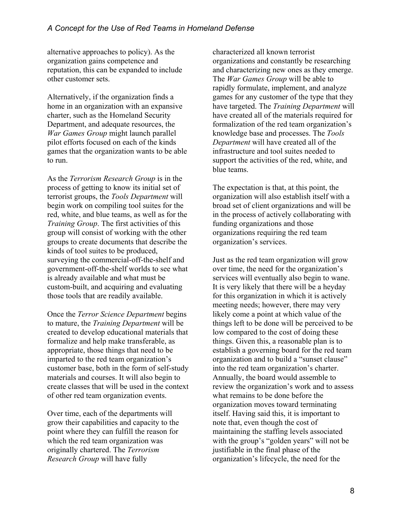alternative approaches to policy). As the organization gains competence and reputation, this can be expanded to include other customer sets.

Alternatively, if the organization finds a home in an organization with an expansive charter, such as the Homeland Security Department, and adequate resources, the *War Games Group* might launch parallel pilot efforts focused on each of the kinds games that the organization wants to be able to run.

As the *Terrorism Research Group* is in the process of getting to know its initial set of terrorist groups, the *Tools Department* will begin work on compiling tool suites for the red, white, and blue teams, as well as for the *Training Group*. The first activities of this group will consist of working with the other groups to create documents that describe the kinds of tool suites to be produced, surveying the commercial-off-the-shelf and government-off-the-shelf worlds to see what is already available and what must be custom-built, and acquiring and evaluating those tools that are readily available.

Once the *Terror Science Department* begins to mature, the *Training Department* will be created to develop educational materials that formalize and help make transferable, as appropriate, those things that need to be imparted to the red team organization's customer base, both in the form of self-study materials and courses. It will also begin to create classes that will be used in the context of other red team organization events.

Over time, each of the departments will grow their capabilities and capacity to the point where they can fulfill the reason for which the red team organization was originally chartered. The *Terrorism Research Group* will have fully

characterized all known terrorist organizations and constantly be researching and characterizing new ones as they emerge. The *War Games Group* will be able to rapidly formulate, implement, and analyze games for any customer of the type that they have targeted. The *Training Department* will have created all of the materials required for formalization of the red team organization's knowledge base and processes. The *Tools Department* will have created all of the infrastructure and tool suites needed to support the activities of the red, white, and blue teams.

The expectation is that, at this point, the organization will also establish itself with a broad set of client organizations and will be in the process of actively collaborating with funding organizations and those organizations requiring the red team organization's services.

Just as the red team organization will grow over time, the need for the organization's services will eventually also begin to wane. It is very likely that there will be a heyday for this organization in which it is actively meeting needs; however, there may very likely come a point at which value of the things left to be done will be perceived to be low compared to the cost of doing these things. Given this, a reasonable plan is to establish a governing board for the red team organization and to build a "sunset clause" into the red team organization's charter. Annually, the board would assemble to review the organization's work and to assess what remains to be done before the organization moves toward terminating itself. Having said this, it is important to note that, even though the cost of maintaining the staffing levels associated with the group's "golden years" will not be justifiable in the final phase of the organization's lifecycle, the need for the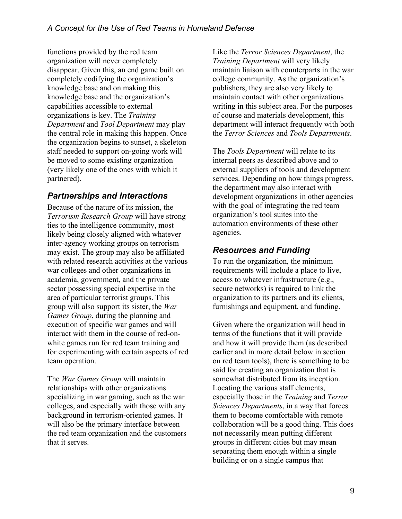functions provided by the red team organization will never completely disappear. Given this, an end game built on completely codifying the organization's knowledge base and on making this knowledge base and the organization's capabilities accessible to external organizations is key. The *Training Department* and *Tool Department* may play the central role in making this happen. Once the organization begins to sunset, a skeleton staff needed to support on-going work will be moved to some existing organization (very likely one of the ones with which it partnered).

#### *Partnerships and Interactions*

Because of the nature of its mission, the *Terrorism Research Group* will have strong ties to the intelligence community, most likely being closely aligned with whatever inter-agency working groups on terrorism may exist. The group may also be affiliated with related research activities at the various war colleges and other organizations in academia, government, and the private sector possessing special expertise in the area of particular terrorist groups. This group will also support its sister, the *War Games Group*, during the planning and execution of specific war games and will interact with them in the course of red-onwhite games run for red team training and for experimenting with certain aspects of red team operation.

The *War Games Group* will maintain relationships with other organizations specializing in war gaming, such as the war colleges, and especially with those with any background in terrorism-oriented games. It will also be the primary interface between the red team organization and the customers that it serves.

Like the *Terror Sciences Department*, the *Training Department* will very likely maintain liaison with counterparts in the war college community. As the organization's publishers, they are also very likely to maintain contact with other organizations writing in this subject area. For the purposes of course and materials development, this department will interact frequently with both the *Terror Sciences* and *Tools Departments*.

The *Tools Department* will relate to its internal peers as described above and to external suppliers of tools and development services. Depending on how things progress, the department may also interact with development organizations in other agencies with the goal of integrating the red team organization's tool suites into the automation environments of these other agencies.

#### *Resources and Funding*

To run the organization, the minimum requirements will include a place to live, access to whatever infrastructure (e.g., secure networks) is required to link the organization to its partners and its clients, furnishings and equipment, and funding.

Given where the organization will head in terms of the functions that it will provide and how it will provide them (as described earlier and in more detail below in section on red team tools), there is something to be said for creating an organization that is somewhat distributed from its inception. Locating the various staff elements, especially those in the *Training* and *Terror Sciences Departments*, in a way that forces them to become comfortable with remote collaboration will be a good thing. This does not necessarily mean putting different groups in different cities but may mean separating them enough within a single building or on a single campus that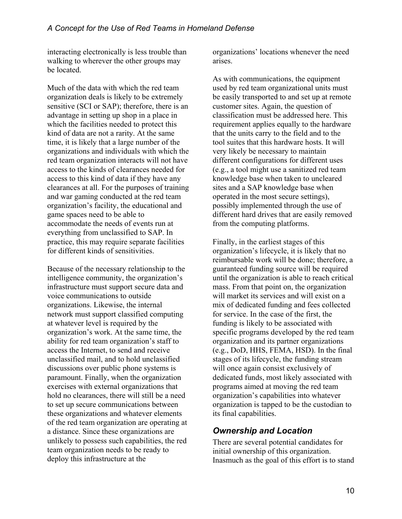interacting electronically is less trouble than walking to wherever the other groups may be located.

Much of the data with which the red team organization deals is likely to be extremely sensitive (SCI or SAP); therefore, there is an advantage in setting up shop in a place in which the facilities needed to protect this kind of data are not a rarity. At the same time, it is likely that a large number of the organizations and individuals with which the red team organization interacts will not have access to the kinds of clearances needed for access to this kind of data if they have any clearances at all. For the purposes of training and war gaming conducted at the red team organization's facility, the educational and game spaces need to be able to accommodate the needs of events run at everything from unclassified to SAP. In practice, this may require separate facilities for different kinds of sensitivities.

Because of the necessary relationship to the intelligence community, the organization's infrastructure must support secure data and voice communications to outside organizations. Likewise, the internal network must support classified computing at whatever level is required by the organization's work. At the same time, the ability for red team organization's staff to access the Internet, to send and receive unclassified mail, and to hold unclassified discussions over public phone systems is paramount. Finally, when the organization exercises with external organizations that hold no clearances, there will still be a need to set up secure communications between these organizations and whatever elements of the red team organization are operating at a distance. Since these organizations are unlikely to possess such capabilities, the red team organization needs to be ready to deploy this infrastructure at the

organizations' locations whenever the need arises.

As with communications, the equipment used by red team organizational units must be easily transported to and set up at remote customer sites. Again, the question of classification must be addressed here. This requirement applies equally to the hardware that the units carry to the field and to the tool suites that this hardware hosts. It will very likely be necessary to maintain different configurations for different uses (e.g., a tool might use a sanitized red team knowledge base when taken to uncleared sites and a SAP knowledge base when operated in the most secure settings), possibly implemented through the use of different hard drives that are easily removed from the computing platforms.

Finally, in the earliest stages of this organization's lifecycle, it is likely that no reimbursable work will be done; therefore, a guaranteed funding source will be required until the organization is able to reach critical mass. From that point on, the organization will market its services and will exist on a mix of dedicated funding and fees collected for service. In the case of the first, the funding is likely to be associated with specific programs developed by the red team organization and its partner organizations (e.g., DoD, HHS, FEMA, HSD). In the final stages of its lifecycle, the funding stream will once again consist exclusively of dedicated funds, most likely associated with programs aimed at moving the red team organization's capabilities into whatever organization is tapped to be the custodian to its final capabilities.

#### *Ownership and Location*

There are several potential candidates for initial ownership of this organization. Inasmuch as the goal of this effort is to stand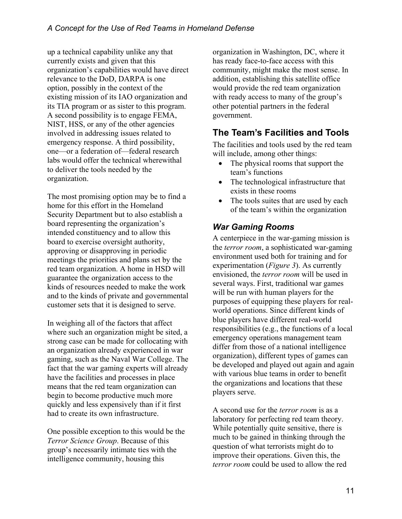up a technical capability unlike any that currently exists and given that this organization's capabilities would have direct relevance to the DoD, DARPA is one option, possibly in the context of the existing mission of its IAO organization and its TIA program or as sister to this program. A second possibility is to engage FEMA, NIST, HSS, or any of the other agencies involved in addressing issues related to emergency response. A third possibility, one—or a federation of—federal research labs would offer the technical wherewithal to deliver the tools needed by the organization.

The most promising option may be to find a home for this effort in the Homeland Security Department but to also establish a board representing the organization's intended constituency and to allow this board to exercise oversight authority, approving or disapproving in periodic meetings the priorities and plans set by the red team organization. A home in HSD will guarantee the organization access to the kinds of resources needed to make the work and to the kinds of private and governmental customer sets that it is designed to serve.

In weighing all of the factors that affect where such an organization might be sited, a strong case can be made for collocating with an organization already experienced in war gaming, such as the Naval War College. The fact that the war gaming experts will already have the facilities and processes in place means that the red team organization can begin to become productive much more quickly and less expensively than if it first had to create its own infrastructure.

One possible exception to this would be the *Terror Science Group*. Because of this group's necessarily intimate ties with the intelligence community, housing this

organization in Washington, DC, where it has ready face-to-face access with this community, might make the most sense. In addition, establishing this satellite office would provide the red team organization with ready access to many of the group's other potential partners in the federal government.

# **The Team's Facilities and Tools**

The facilities and tools used by the red team will include, among other things:

- The physical rooms that support the team's functions
- The technological infrastructure that exists in these rooms
- The tools suites that are used by each of the team's within the organization

### *War Gaming Rooms*

A centerpiece in the war-gaming mission is the *terror room*, a sophisticated war-gaming environment used both for training and for experimentation (*Figure 3*). As currently envisioned, the *terror room* will be used in several ways. First, traditional war games will be run with human players for the purposes of equipping these players for realworld operations. Since different kinds of blue players have different real-world responsibilities (e.g., the functions of a local emergency operations management team differ from those of a national intelligence organization), different types of games can be developed and played out again and again with various blue teams in order to benefit the organizations and locations that these players serve.

A second use for the *terror room* is as a laboratory for perfecting red team theory. While potentially quite sensitive, there is much to be gained in thinking through the question of what terrorists might do to improve their operations. Given this, the *terror room* could be used to allow the red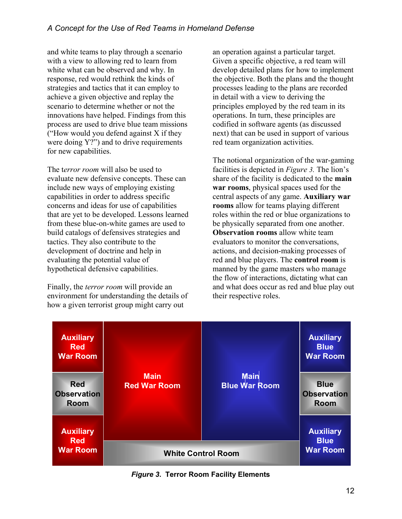and white teams to play through a scenario with a view to allowing red to learn from white what can be observed and why. In response, red would rethink the kinds of strategies and tactics that it can employ to achieve a given objective and replay the scenario to determine whether or not the innovations have helped. Findings from this process are used to drive blue team missions ("How would you defend against X if they were doing Y?") and to drive requirements for new capabilities.

The t*error room* will also be used to evaluate new defensive concepts. These can include new ways of employing existing capabilities in order to address specific concerns and ideas for use of capabilities that are yet to be developed. Lessons learned from these blue-on-white games are used to build catalogs of defensives strategies and tactics. They also contribute to the development of doctrine and help in evaluating the potential value of hypothetical defensive capabilities.

Finally, the *terror room* will provide an environment for understanding the details of how a given terrorist group might carry out

an operation against a particular target. Given a specific objective, a red team will develop detailed plans for how to implement the objective. Both the plans and the thought processes leading to the plans are recorded in detail with a view to deriving the principles employed by the red team in its operations. In turn, these principles are codified in software agents (as discussed next) that can be used in support of various red team organization activities.

The notional organization of the war-gaming facilities is depicted in *[Figure 3.](#page-12-0)* The lion's share of the facility is dedicated to the **main war rooms**, physical spaces used for the central aspects of any game. **Auxiliary war rooms** allow for teams playing different roles within the red or blue organizations to be physically separated from one another. **Observation rooms** allow white team evaluators to monitor the conversations, actions, and decision-making processes of red and blue players. The **control room** is manned by the game masters who manage the flow of interactions, dictating what can and what does occur as red and blue play out their respective roles.



*Figure 3***. Terror Room Facility Elements**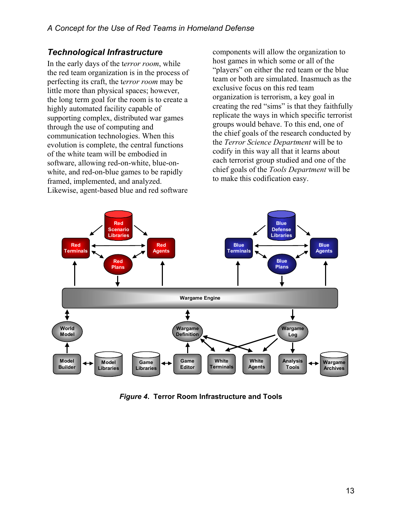#### *Technological Infrastructure*

In the early days of the t*error room*, while the red team organization is in the process of perfecting its craft, the t*error room* may be little more than physical spaces; however, the long term goal for the room is to create a highly automated facility capable of supporting complex, distributed war games through the use of computing and communication technologies. When this evolution is complete, the central functions of the white team will be embodied in software, allowing red-on-white, blue-onwhite, and red-on-blue games to be rapidly framed, implemented, and analyzed. Likewise, agent-based blue and red software

components will allow the organization to host games in which some or all of the "players" on either the red team or the blue team or both are simulated. Inasmuch as the exclusive focus on this red team organization is terrorism, a key goal in creating the red "sims" is that they faithfully replicate the ways in which specific terrorist groups would behave. To this end, one of the chief goals of the research conducted by the *Terror Science Department* will be to codify in this way all that it learns about each terrorist group studied and one of the chief goals of the *Tools Department* will be to make this codification easy.

<span id="page-12-0"></span>

*Figure 4***. Terror Room Infrastructure and Tools**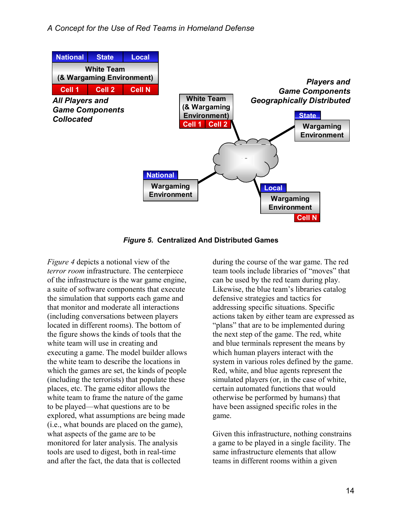<span id="page-13-0"></span>

*Figure 5***. Centralized And Distributed Games** 

*[Figure 4](#page-12-0)* depicts a notional view of the *terror room* infrastructure. The centerpiece of the infrastructure is the war game engine, a suite of software components that execute the simulation that supports each game and that monitor and moderate all interactions (including conversations between players located in different rooms). The bottom of the figure shows the kinds of tools that the white team will use in creating and executing a game. The model builder allows the white team to describe the locations in which the games are set, the kinds of people (including the terrorists) that populate these places, etc. The game editor allows the white team to frame the nature of the game to be played—what questions are to be explored, what assumptions are being made (i.e., what bounds are placed on the game), what aspects of the game are to be monitored for later analysis. The analysis tools are used to digest, both in real-time and after the fact, the data that is collected

during the course of the war game. The red team tools include libraries of "moves" that can be used by the red team during play. Likewise, the blue team's libraries catalog defensive strategies and tactics for addressing specific situations. Specific actions taken by either team are expressed as "plans" that are to be implemented during the next step of the game. The red, white and blue terminals represent the means by which human players interact with the system in various roles defined by the game. Red, white, and blue agents represent the simulated players (or, in the case of white, certain automated functions that would otherwise be performed by humans) that have been assigned specific roles in the game.

Given this infrastructure, nothing constrains a game to be played in a single facility. The same infrastructure elements that allow teams in different rooms within a given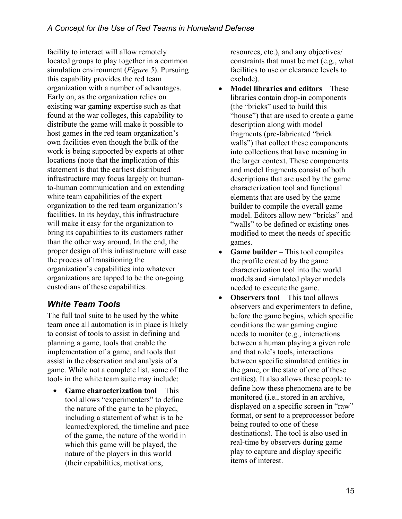facility to interact will allow remotely located groups to play together in a common simulation environment (*[Figure 5](#page-13-0)*). Pursuing this capability provides the red team organization with a number of advantages. Early on, as the organization relies on existing war gaming expertise such as that found at the war colleges, this capability to distribute the game will make it possible to host games in the red team organization's own facilities even though the bulk of the work is being supported by experts at other locations (note that the implication of this statement is that the earliest distributed infrastructure may focus largely on humanto-human communication and on extending white team capabilities of the expert organization to the red team organization's facilities. In its heyday, this infrastructure will make it easy for the organization to bring its capabilities to its customers rather than the other way around. In the end, the proper design of this infrastructure will ease the process of transitioning the organization's capabilities into whatever organizations are tapped to be the on-going custodians of these capabilities.

### *White Team Tools*

The full tool suite to be used by the white team once all automation is in place is likely to consist of tools to assist in defining and planning a game, tools that enable the implementation of a game, and tools that assist in the observation and analysis of a game. While not a complete list, some of the tools in the white team suite may include:

• **Game characterization tool** – This tool allows "experimenters" to define the nature of the game to be played, including a statement of what is to be learned/explored, the timeline and pace of the game, the nature of the world in which this game will be played, the nature of the players in this world (their capabilities, motivations,

resources, etc.), and any objectives/ constraints that must be met (e.g., what facilities to use or clearance levels to exclude).

- **Model libraries and editors**  These libraries contain drop-in components (the "bricks" used to build this "house") that are used to create a game description along with model fragments (pre-fabricated "brick walls") that collect these components into collections that have meaning in the larger context. These components and model fragments consist of both descriptions that are used by the game characterization tool and functional elements that are used by the game builder to compile the overall game model. Editors allow new "bricks" and "walls" to be defined or existing ones modified to meet the needs of specific games.
- **Game builder** This tool compiles the profile created by the game characterization tool into the world models and simulated player models needed to execute the game.
- **Observers tool** This tool allows observers and experimenters to define, before the game begins, which specific conditions the war gaming engine needs to monitor (e.g., interactions between a human playing a given role and that role's tools, interactions between specific simulated entities in the game, or the state of one of these entities). It also allows these people to define how these phenomena are to be monitored (i.e., stored in an archive, displayed on a specific screen in "raw" format, or sent to a preprocessor before being routed to one of these destinations). The tool is also used in real-time by observers during game play to capture and display specific items of interest.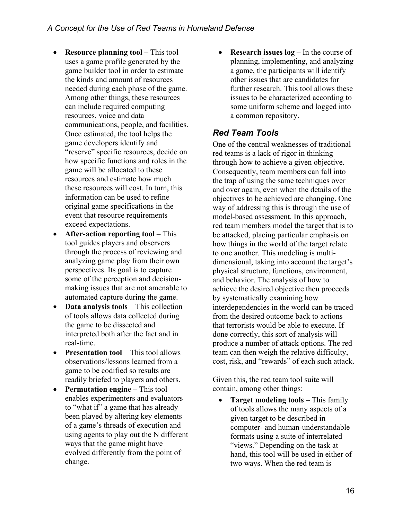- **Resource planning tool** This tool uses a game profile generated by the game builder tool in order to estimate the kinds and amount of resources needed during each phase of the game. Among other things, these resources can include required computing resources, voice and data communications, people, and facilities. Once estimated, the tool helps the game developers identify and "reserve" specific resources, decide on how specific functions and roles in the game will be allocated to these resources and estimate how much these resources will cost. In turn, this information can be used to refine original game specifications in the event that resource requirements exceed expectations.
- **After-action reporting tool** This tool guides players and observers through the process of reviewing and analyzing game play from their own perspectives. Its goal is to capture some of the perception and decisionmaking issues that are not amenable to automated capture during the game.
- **Data analysis tools** This collection of tools allows data collected during the game to be dissected and interpreted both after the fact and in real-time.
- **Presentation tool** This tool allows observations/lessons learned from a game to be codified so results are
- **Permutation engine** This tool contain, among other things: enables experimenters and evaluators to "what if" a game that has already been played by altering key elements of a game's threads of execution and using agents to play out the N different ways that the game might have evolved differently from the point of change.

• **Research issues log** – In the course of planning, implementing, and analyzing a game, the participants will identify other issues that are candidates for further research. This tool allows these issues to be characterized according to some uniform scheme and logged into a common repository.

#### *Red Team Tools*

One of the central weaknesses of traditional red teams is a lack of rigor in thinking through how to achieve a given objective. Consequently, team members can fall into the trap of using the same techniques over and over again, even when the details of the objectives to be achieved are changing. One way of addressing this is through the use of model-based assessment. In this approach, red team members model the target that is to be attacked, placing particular emphasis on how things in the world of the target relate to one another. This modeling is multidimensional, taking into account the target's physical structure, functions, environment, and behavior. The analysis of how to achieve the desired objective then proceeds by systematically examining how interdependencies in the world can be traced from the desired outcome back to actions that terrorists would be able to execute. If done correctly, this sort of analysis will produce a number of attack options. The red team can then weigh the relative difficulty, cost, risk, and "rewards" of each such attack.

readily briefed to players and others. Given this, the red team tool suite will

• **Target modeling tools** – This family of tools allows the many aspects of a given target to be described in computer- and human-understandable formats using a suite of interrelated "views." Depending on the task at hand, this tool will be used in either of two ways. When the red team is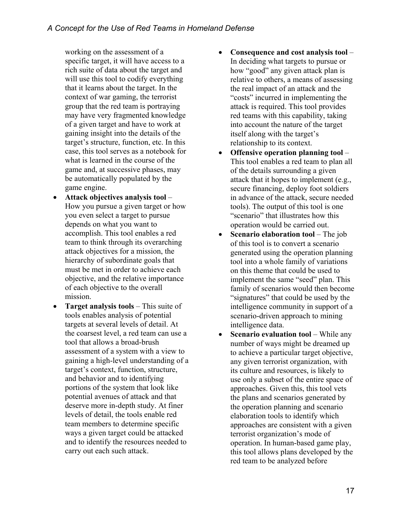working on the assessment of a specific target, it will have access to a rich suite of data about the target and will use this tool to codify everything that it learns about the target. In the context of war gaming, the terrorist group that the red team is portraying may have very fragmented knowledge of a given target and have to work at gaining insight into the details of the target's structure, function, etc. In this case, this tool serves as a notebook for what is learned in the course of the game and, at successive phases, may be automatically populated by the game engine.

- **Attack objectives analysis tool**  How you pursue a given target or how you even select a target to pursue depends on what you want to accomplish. This tool enables a red team to think through its overarching attack objectives for a mission, the hierarchy of subordinate goals that must be met in order to achieve each objective, and the relative importance of each objective to the overall mission.
- **Target analysis tools** This suite of tools enables analysis of potential targets at several levels of detail. At the coarsest level, a red team can use a tool that allows a broad-brush assessment of a system with a view to gaining a high-level understanding of a target's context, function, structure, and behavior and to identifying portions of the system that look like potential avenues of attack and that deserve more in-depth study. At finer levels of detail, the tools enable red team members to determine specific ways a given target could be attacked and to identify the resources needed to carry out each such attack.
- **Consequence and cost analysis tool**  In deciding what targets to pursue or how "good" any given attack plan is relative to others, a means of assessing the real impact of an attack and the "costs" incurred in implementing the attack is required. This tool provides red teams with this capability, taking into account the nature of the target itself along with the target's relationship to its context.
- **Offensive operation planning tool**  This tool enables a red team to plan all of the details surrounding a given attack that it hopes to implement (e.g., secure financing, deploy foot soldiers in advance of the attack, secure needed tools). The output of this tool is one "scenario" that illustrates how this operation would be carried out.
- **Scenario elaboration tool** The job of this tool is to convert a scenario generated using the operation planning tool into a whole family of variations on this theme that could be used to implement the same "seed" plan. This family of scenarios would then become "signatures" that could be used by the intelligence community in support of a scenario-driven approach to mining intelligence data.
- **Scenario evaluation tool While any** number of ways might be dreamed up to achieve a particular target objective, any given terrorist organization, with its culture and resources, is likely to use only a subset of the entire space of approaches. Given this, this tool vets the plans and scenarios generated by the operation planning and scenario elaboration tools to identify which approaches are consistent with a given terrorist organization's mode of operation. In human-based game play, this tool allows plans developed by the red team to be analyzed before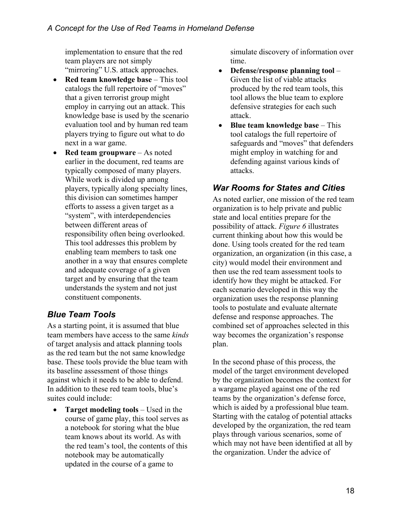implementation to ensure that the red team players are not simply "mirroring" U.S. attack approaches.

- **Red team knowledge base** This tool catalogs the full repertoire of "moves" that a given terrorist group might employ in carrying out an attack. This knowledge base is used by the scenario evaluation tool and by human red team players trying to figure out what to do next in a war game.
- **Red team groupware** As noted earlier in the document, red teams are typically composed of many players. While work is divided up among players, typically along specialty lines, this division can sometimes hamper efforts to assess a given target as a "system", with interdependencies between different areas of responsibility often being overlooked. This tool addresses this problem by enabling team members to task one another in a way that ensures complete and adequate coverage of a given target and by ensuring that the team understands the system and not just constituent components.

### *Blue Team Tools*

As a starting point, it is assumed that blue team members have access to the same *kinds* of target analysis and attack planning tools as the red team but the not same knowledge base. These tools provide the blue team with its baseline assessment of those things against which it needs to be able to defend. In addition to these red team tools, blue's suites could include:

• **Target modeling tools** – Used in the course of game play, this tool serves as a notebook for storing what the blue team knows about its world. As with the red team's tool, the contents of this notebook may be automatically updated in the course of a game to

simulate discovery of information over time.

- **Defense/response planning tool** Given the list of viable attacks produced by the red team tools, this tool allows the blue team to explore defensive strategies for each such attack.
- **Blue team knowledge base**  This tool catalogs the full repertoire of safeguards and "moves" that defenders might employ in watching for and defending against various kinds of attacks.

#### *War Rooms for States and Cities*

As noted earlier, one mission of the red team organization is to help private and public state and local entities prepare for the possibility of attack. *[Figure 6](#page-18-0)* illustrates current thinking about how this would be done. Using tools created for the red team organization, an organization (in this case, a city) would model their environment and then use the red team assessment tools to identify how they might be attacked. For each scenario developed in this way the organization uses the response planning tools to postulate and evaluate alternate defense and response approaches. The combined set of approaches selected in this way becomes the organization's response plan.

In the second phase of this process, the model of the target environment developed by the organization becomes the context for a wargame played against one of the red teams by the organization's defense force, which is aided by a professional blue team. Starting with the catalog of potential attacks developed by the organization, the red team plays through various scenarios, some of which may not have been identified at all by the organization. Under the advice of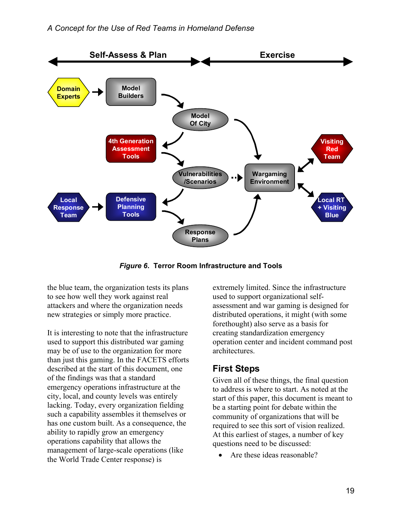<span id="page-18-0"></span>

*Figure 6***. Terror Room Infrastructure and Tools** 

the blue team, the organization tests its plans to see how well they work against real attackers and where the organization needs new strategies or simply more practice.

It is interesting to note that the infrastructure used to support this distributed war gaming may be of use to the organization for more than just this gaming. In the FACETS efforts described at the start of this document, one of the findings was that a standard emergency operations infrastructure at the city, local, and county levels was entirely lacking. Today, every organization fielding such a capability assembles it themselves or has one custom built. As a consequence, the ability to rapidly grow an emergency operations capability that allows the management of large-scale operations (like the World Trade Center response) is

extremely limited. Since the infrastructure used to support organizational selfassessment and war gaming is designed for distributed operations, it might (with some forethought) also serve as a basis for creating standardization emergency operation center and incident command post architectures.

### **First Steps**

Given all of these things, the final question to address is where to start. As noted at the start of this paper, this document is meant to be a starting point for debate within the community of organizations that will be required to see this sort of vision realized. At this earliest of stages, a number of key questions need to be discussed:

Are these ideas reasonable?